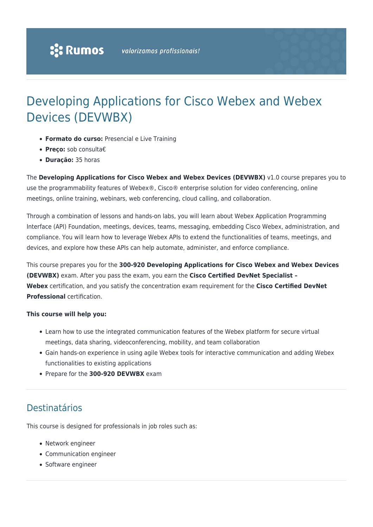# Developing Applications for Cisco Webex and Webex Devices (DEVWBX)

- **Formato do curso:** Presencial e Live Training
- **Preço:** sob consulta€
- **Duração:** 35 horas

The **Developing Applications for Cisco Webex and Webex Devices (DEVWBX)** v1.0 course prepares you to use the programmability features of Webex®, Cisco® enterprise solution for video conferencing, online meetings, online training, webinars, web conferencing, cloud calling, and collaboration.

Through a combination of lessons and hands-on labs, you will learn about Webex Application Programming Interface (API) Foundation, meetings, devices, teams, messaging, embedding Cisco Webex, administration, and compliance. You will learn how to leverage Webex APIs to extend the functionalities of teams, meetings, and devices, and explore how these APIs can help automate, administer, and enforce compliance.

This course prepares you for the **300-920 Developing Applications for Cisco Webex and Webex Devices (DEVWBX)** exam. After you pass the exam, you earn the **Cisco Certified DevNet Specialist – Webex** certification, and you satisfy the concentration exam requirement for the **Cisco Certified DevNet Professional** certification.

#### **This course will help you:**

- Learn how to use the integrated communication features of the Webex platform for secure virtual meetings, data sharing, videoconferencing, mobility, and team collaboration
- Gain hands-on experience in using agile Webex tools for interactive communication and adding Webex functionalities to existing applications
- Prepare for the **300-920 DEVWBX** exam

### Destinatários

This course is designed for professionals in job roles such as:

- Network engineer
- Communication engineer
- Software engineer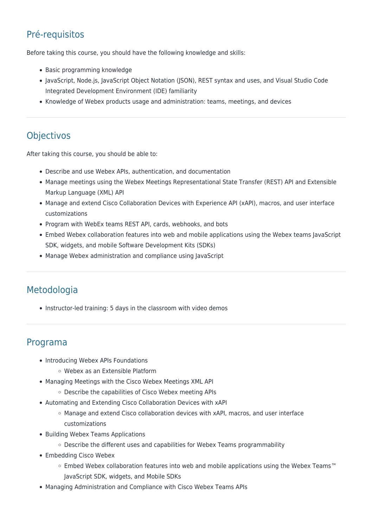## Pré-requisitos

Before taking this course, you should have the following knowledge and skills:

- Basic programming knowledge
- JavaScript, Node.js, JavaScript Object Notation (JSON), REST syntax and uses, and Visual Studio Code Integrated Development Environment (IDE) familiarity
- Knowledge of Webex products usage and administration: teams, meetings, and devices

### **Objectivos**

After taking this course, you should be able to:

- Describe and use Webex APIs, authentication, and documentation
- Manage meetings using the Webex Meetings Representational State Transfer (REST) API and Extensible Markup Language (XML) API
- Manage and extend Cisco Collaboration Devices with Experience API (xAPI), macros, and user interface customizations
- Program with WebEx teams REST API, cards, webhooks, and bots
- Embed Webex collaboration features into web and mobile applications using the Webex teams JavaScript SDK, widgets, and mobile Software Development Kits (SDKs)
- Manage Webex administration and compliance using JavaScript

### Metodologia

• Instructor-led training: 5 days in the classroom with video demos

#### Programa

- Introducing Webex APIs Foundations
	- Webex as an Extensible Platform
- Managing Meetings with the Cisco Webex Meetings XML API
	- Describe the capabilities of Cisco Webex meeting APIs
- Automating and Extending Cisco Collaboration Devices with xAPI
	- Manage and extend Cisco collaboration devices with xAPI, macros, and user interface customizations
- Building Webex Teams Applications
	- o Describe the different uses and capabilities for Webex Teams programmability
- Embedding Cisco Webex
	- Embed Webex collaboration features into web and mobile applications using the Webex Teams™ JavaScript SDK, widgets, and Mobile SDKs
- Managing Administration and Compliance with Cisco Webex Teams APIs